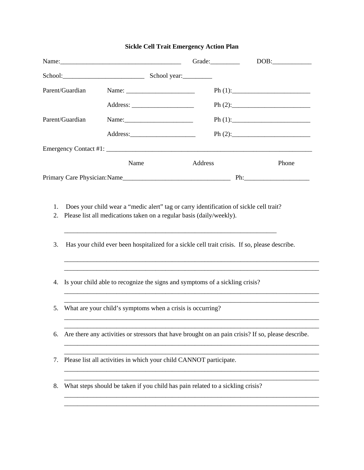|                 |                                                                                                    |                                                                                | Grade:  | DOB:  |  |
|-----------------|----------------------------------------------------------------------------------------------------|--------------------------------------------------------------------------------|---------|-------|--|
|                 |                                                                                                    | School: School: School year:                                                   |         |       |  |
| Parent/Guardian |                                                                                                    |                                                                                |         |       |  |
|                 |                                                                                                    |                                                                                |         |       |  |
| Parent/Guardian |                                                                                                    |                                                                                |         |       |  |
|                 |                                                                                                    |                                                                                |         |       |  |
|                 |                                                                                                    |                                                                                |         |       |  |
|                 |                                                                                                    | Name                                                                           | Address | Phone |  |
|                 |                                                                                                    |                                                                                |         |       |  |
| 3.              | Has your child ever been hospitalized for a sickle cell trait crisis. If so, please describe.      |                                                                                |         |       |  |
| 4.              |                                                                                                    | Is your child able to recognize the signs and symptoms of a sickling crisis?   |         |       |  |
| 5.              | What are your child's symptoms when a crisis is occurring?                                         |                                                                                |         |       |  |
| 6.              | Are there any activities or stressors that have brought on an pain crisis? If so, please describe. |                                                                                |         |       |  |
| 7.              |                                                                                                    | Please list all activities in which your child CANNOT participate.             |         |       |  |
| 8.              |                                                                                                    | What steps should be taken if you child has pain related to a sickling crisis? |         |       |  |

\_\_\_\_\_\_\_\_\_\_\_\_\_\_\_\_\_\_\_\_\_\_\_\_\_\_\_\_\_\_\_\_\_\_\_\_\_\_\_\_\_\_\_\_\_\_\_\_\_\_\_\_\_\_\_\_\_\_\_\_\_\_\_\_\_\_\_\_\_\_\_\_\_\_\_\_\_\_

## **Sickle Cell Trait Emergency Action Plan**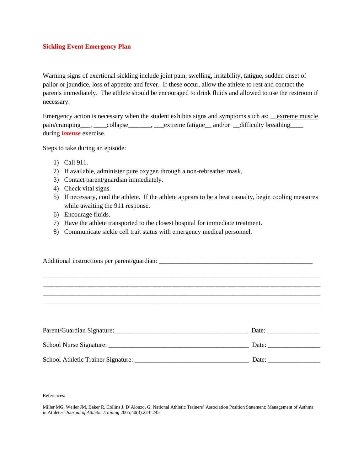## **Sickling Event Emergency Plan**

Warning signs of exertional sickling include joint pain, swelling, irritability, fatigue, sudden onset of pallor or jaundice, loss of appetite and fever. If these occur, allow the athlete to rest and contact the parents immediately. The athlete should be encouraged to drink fluids and allowed to use the restroom if necessary.

Emergency action is necessary when the student exhibits signs and symptoms such as: <u>extreme muscle</u> pain/cramping , collapse , extreme fatigue and/or difficulty breathing during *intense* exercise.

Steps to take during an episode:

- 1) Call 911.
- 2) If available, administer pure oxygen through a non-rebreather mask.
- 3) Contact parent/guardian immediately.
- 4) Check vital signs.
- 5) If necessary, cool the athlete. If the athlete appears to be a heat casualty, begin cooling measures while awaiting the 911 response.
- 6) Encourage fluids.
- 7) Have the athlete transported to the closest hospital for immediate treatment.
- 8) Communicate sickle cell trait status with emergency medical personnel.

Additional instructions per parent/guardian: \_\_\_\_\_\_\_\_\_\_\_\_\_\_\_\_\_\_\_\_\_\_\_\_\_\_\_\_\_\_\_\_\_\_\_\_\_\_\_\_\_\_\_\_\_\_\_

| Parent/Guardian Signature:         | Date: |
|------------------------------------|-------|
| School Nurse Signature:            | Date: |
| School Athletic Trainer Signature: | Date: |

\_\_\_\_\_\_\_\_\_\_\_\_\_\_\_\_\_\_\_\_\_\_\_\_\_\_\_\_\_\_\_\_\_\_\_\_\_\_\_\_\_\_\_\_\_\_\_\_\_\_\_\_\_\_\_\_\_\_\_\_\_\_\_\_\_\_\_\_\_\_\_\_\_\_\_\_\_\_\_\_\_\_\_\_\_ \_\_\_\_\_\_\_\_\_\_\_\_\_\_\_\_\_\_\_\_\_\_\_\_\_\_\_\_\_\_\_\_\_\_\_\_\_\_\_\_\_\_\_\_\_\_\_\_\_\_\_\_\_\_\_\_\_\_\_\_\_\_\_\_\_\_\_\_\_\_\_\_\_\_\_\_\_\_\_\_\_\_\_\_\_ \_\_\_\_\_\_\_\_\_\_\_\_\_\_\_\_\_\_\_\_\_\_\_\_\_\_\_\_\_\_\_\_\_\_\_\_\_\_\_\_\_\_\_\_\_\_\_\_\_\_\_\_\_\_\_\_\_\_\_\_\_\_\_\_\_\_\_\_\_\_\_\_\_\_\_\_\_\_\_\_\_\_\_\_\_ \_\_\_\_\_\_\_\_\_\_\_\_\_\_\_\_\_\_\_\_\_\_\_\_\_\_\_\_\_\_\_\_\_\_\_\_\_\_\_\_\_\_\_\_\_\_\_\_\_\_\_\_\_\_\_\_\_\_\_\_\_\_\_\_\_\_\_\_\_\_\_\_\_\_\_\_\_\_\_\_\_\_\_\_\_

References:

Miller MG, Weiler JM, Baker R, Collins J, D'Alonzo, G. National Athletic Trainers' Association Position Statement: Management of Asthma in Athletes. *Journal of Athletic Training* 2005;40(3):224–245